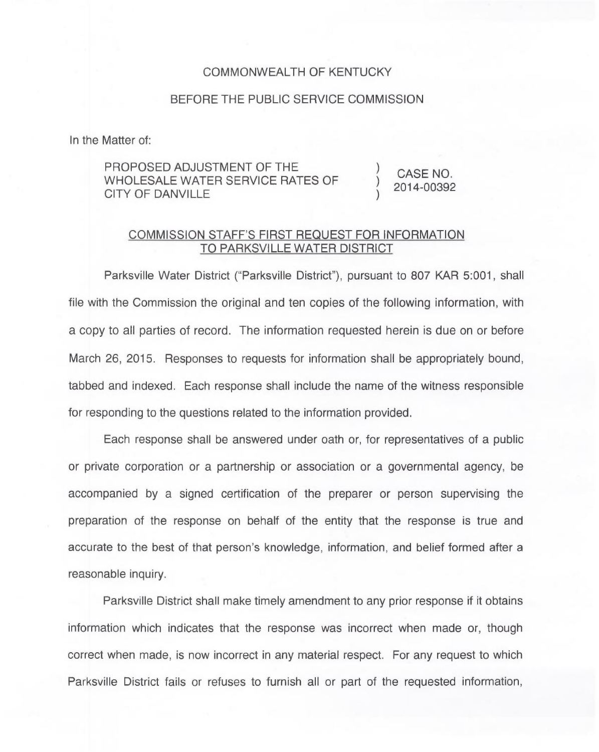## COMMONWEALTH OF KENTUCKY

## BEFORE THE PUBLIC SERVICE COMMISSION

In the Matter of:

## PROPOSED ADJUSTMENT OF THE WHOLESALE WATER SERVICE RATES OF CITY OF DANVILLE

CASE NO. 2014-00392

) )

## COMMISSION STAFF'S FIRST REQUEST FOR INFORMATION TO PARKSVILLE WATER DISTRICT

Parksville Water District ("Parksville District"), pursuant to 807 KAR 5:001, shall file with the Commission the original and ten copies of the following information, with a copy to all parties of record. The information requested herein is due on or before March 26, 2015. Responses to requests for information shall be appropriately bound, tabbed and indexed. Each response shall include the name of the witness responsible for responding to the questions related to the information provided.

Each response shall be answered under oath or, for representatives of a public or private corporation or a partnership or association or a governmental agency, be accompanied by a signed certification of the preparer or person supervising the preparation of the response on behalf of the entity that the response is true and accurate to the best of that person's knowledge, information, and belief formed after a reasonable inquiry.

Parksville District shall make timely amendment to any prior response if it obtains information which indicates that the response was incorrect when made or, though correct when made, is now incorrect in any material respect. For any request to which Parksville District fails or refuses to furnish all or part of the requested information,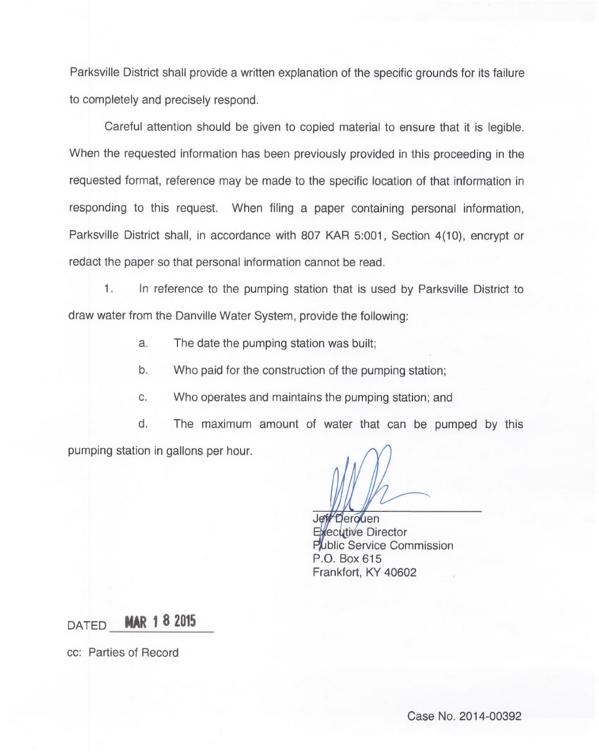Parksville District shall provide a written explanation of the specific grounds for its failure to completely and precisely respond.

Careful attention should be given to copied material to ensure that it is legible. When the requested information has been previously provided in this proceeding in the requested format, reference may be made to the specific location of that information in responding to this request. When filing a paper containing personal information, Parksville District shall, in accordance with 807 KAR 5:001, Section 4(10), encrypt or redact the paper so that personal information cannot be read.

In reference to the pumping station that is used by Parksville District to 1. draw water from the Danville Water System, provide the following:

a. The date the pumping station was built;

b. Who paid for the construction of the pumping station;

c. Who operates and maintains the pumping station; and

d. The maximum amount of water that can be pumped by this pumping station in gallons per hour.

Derouen ecutive Director Public Service Commission P.O. Box 615 Frankfort, KY 40602

DATED **MAR 1 8 2015** 

cc: Parties of Record